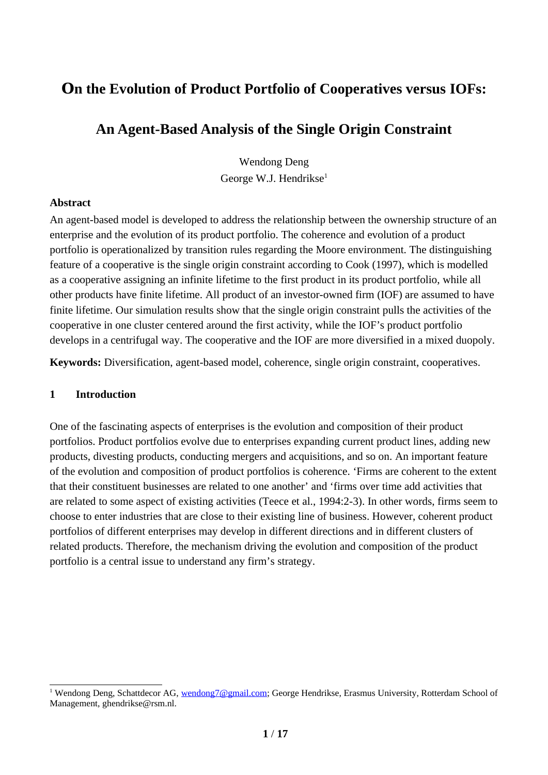# **On the Evolution of Product Portfolio of Cooperatives versus IOFs:**

# **An Agent-Based Analysis of the Single Origin Constraint**

<span id="page-0-0"></span>Wendong Deng George W.J. Hendrikse $1$ 

# **Abstract**

An agent-based model is developed to address the relationship between the ownership structure of an enterprise and the evolution of its product portfolio. The coherence and evolution of a product portfolio is operationalized by transition rules regarding the Moore environment. The distinguishing feature of a cooperative is the single origin constraint according to Cook (1997), which is modelled as a cooperative assigning an infinite lifetime to the first product in its product portfolio, while all other products have finite lifetime. All product of an investor-owned firm (IOF) are assumed to have finite lifetime. Our simulation results show that the single origin constraint pulls the activities of the cooperative in one cluster centered around the first activity, while the IOF's product portfolio develops in a centrifugal way. The cooperative and the IOF are more diversified in a mixed duopoly.

**Keywords:** Diversification, agent-based model, coherence, single origin constraint, cooperatives.

## **1 Introduction**

One of the fascinating aspects of enterprises is the evolution and composition of their product portfolios. Product portfolios evolve due to enterprises expanding current product lines, adding new products, divesting products, conducting mergers and acquisitions, and so on. An important feature of the evolution and composition of product portfolios is coherence. 'Firms are coherent to the extent that their constituent businesses are related to one another' and 'firms over time add activities that are related to some aspect of existing activities (Teece et al., 1994:2-3). In other words, firms seem to choose to enter industries that are close to their existing line of business. However, coherent product portfolios of different enterprises may develop in different directions and in different clusters of related products. Therefore, the mechanism driving the evolution and composition of the product portfolio is a central issue to understand any firm's strategy.

<span id="page-0-1"></span><sup>&</sup>lt;sup>[1](#page-0-0)</sup> Wendong Deng, Schattdecor AG, <u>[wendong7@gmail.com](mailto:wendong7@gmail.com)</u>; George Hendrikse, Erasmus University, Rotterdam School of Management, ghendrikse@rsm.nl.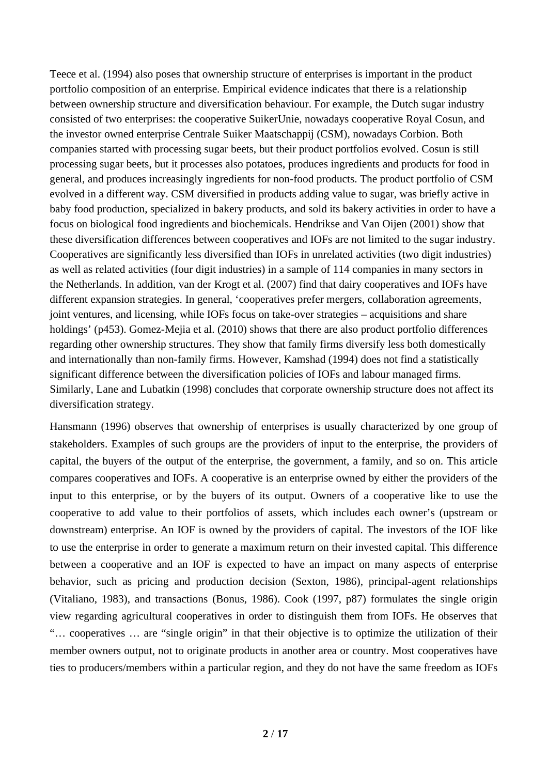Teece et al. (1994) also poses that ownership structure of enterprises is important in the product portfolio composition of an enterprise. Empirical evidence indicates that there is a relationship between ownership structure and diversification behaviour. For example, the Dutch sugar industry consisted of two enterprises: the cooperative SuikerUnie, nowadays cooperative Royal Cosun, and the investor owned enterprise Centrale Suiker Maatschappij (CSM), nowadays Corbion. Both companies started with processing sugar beets, but their product portfolios evolved. Cosun is still processing sugar beets, but it processes also potatoes, produces ingredients and products for food in general, and produces increasingly ingredients for non-food products. The product portfolio of CSM evolved in a different way. CSM diversified in products adding value to sugar, was briefly active in baby food production, specialized in bakery products, and sold its bakery activities in order to have a focus on biological food ingredients and biochemicals. Hendrikse and Van Oijen (2001) show that these diversification differences between cooperatives and IOFs are not limited to the sugar industry. Cooperatives are significantly less diversified than IOFs in unrelated activities (two digit industries) as well as related activities (four digit industries) in a sample of 114 companies in many sectors in the Netherlands. In addition, van der Krogt et al. (2007) find that dairy cooperatives and IOFs have different expansion strategies. In general, 'cooperatives prefer mergers, collaboration agreements, joint ventures, and licensing, while IOFs focus on take-over strategies – acquisitions and share holdings' (p453). Gomez-Mejia et al. (2010) shows that there are also product portfolio differences regarding other ownership structures. They show that family firms diversify less both domestically and internationally than non-family firms. However, Kamshad (1994) does not find a statistically significant difference between the diversification policies of IOFs and labour managed firms. Similarly, Lane and Lubatkin (1998) concludes that corporate ownership structure does not affect its diversification strategy.

Hansmann (1996) observes that ownership of enterprises is usually characterized by one group of stakeholders. Examples of such groups are the providers of input to the enterprise, the providers of capital, the buyers of the output of the enterprise, the government, a family, and so on. This article compares cooperatives and IOFs. A cooperative is an enterprise owned by either the providers of the input to this enterprise, or by the buyers of its output. Owners of a cooperative like to use the cooperative to add value to their portfolios of assets, which includes each owner's (upstream or downstream) enterprise. An IOF is owned by the providers of capital. The investors of the IOF like to use the enterprise in order to generate a maximum return on their invested capital. This difference between a cooperative and an IOF is expected to have an impact on many aspects of enterprise behavior, such as pricing and production decision (Sexton, 1986), principal-agent relationships (Vitaliano, 1983), and transactions (Bonus, 1986). Cook (1997, p87) formulates the single origin view regarding agricultural cooperatives in order to distinguish them from IOFs. He observes that "… cooperatives … are "single origin" in that their objective is to optimize the utilization of their member owners output, not to originate products in another area or country. Most cooperatives have ties to producers/members within a particular region, and they do not have the same freedom as IOFs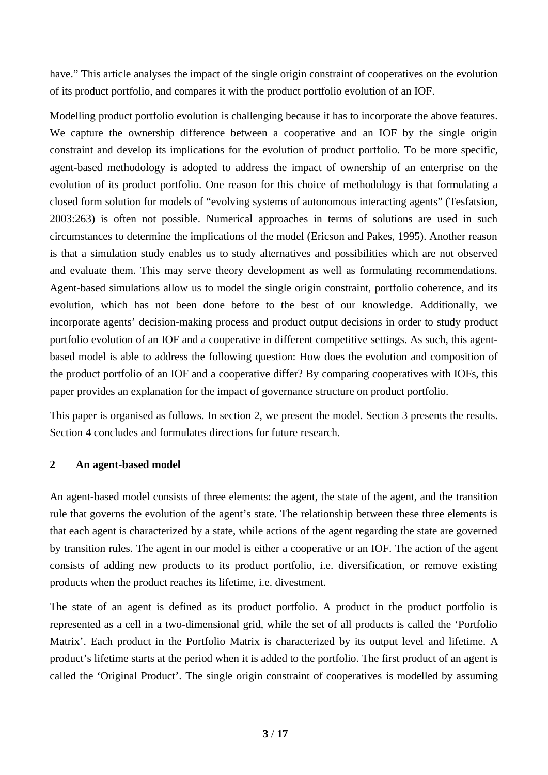have." This article analyses the impact of the single origin constraint of cooperatives on the evolution of its product portfolio, and compares it with the product portfolio evolution of an IOF.

Modelling product portfolio evolution is challenging because it has to incorporate the above features. We capture the ownership difference between a cooperative and an IOF by the single origin constraint and develop its implications for the evolution of product portfolio. To be more specific, agent-based methodology is adopted to address the impact of ownership of an enterprise on the evolution of its product portfolio. One reason for this choice of methodology is that formulating a closed form solution for models of "evolving systems of autonomous interacting agents" (Tesfatsion, 2003:263) is often not possible. Numerical approaches in terms of solutions are used in such circumstances to determine the implications of the model (Ericson and Pakes, 1995). Another reason is that a simulation study enables us to study alternatives and possibilities which are not observed and evaluate them. This may serve theory development as well as formulating recommendations. Agent-based simulations allow us to model the single origin constraint, portfolio coherence, and its evolution, which has not been done before to the best of our knowledge. Additionally, we incorporate agents' decision-making process and product output decisions in order to study product portfolio evolution of an IOF and a cooperative in different competitive settings. As such, this agentbased model is able to address the following question: How does the evolution and composition of the product portfolio of an IOF and a cooperative differ? By comparing cooperatives with IOFs, this paper provides an explanation for the impact of governance structure on product portfolio.

This paper is organised as follows. In section 2, we present the model. Section 3 presents the results. Section 4 concludes and formulates directions for future research.

# **2 An agent-based model**

An agent-based model consists of three elements: the agent, the state of the agent, and the transition rule that governs the evolution of the agent's state. The relationship between these three elements is that each agent is characterized by a state, while actions of the agent regarding the state are governed by transition rules. The agent in our model is either a cooperative or an IOF. The action of the agent consists of adding new products to its product portfolio, i.e. diversification, or remove existing products when the product reaches its lifetime, i.e. divestment.

The state of an agent is defined as its product portfolio. A product in the product portfolio is represented as a cell in a two-dimensional grid, while the set of all products is called the 'Portfolio Matrix'. Each product in the Portfolio Matrix is characterized by its output level and lifetime. A product's lifetime starts at the period when it is added to the portfolio. The first product of an agent is called the 'Original Product'. The single origin constraint of cooperatives is modelled by assuming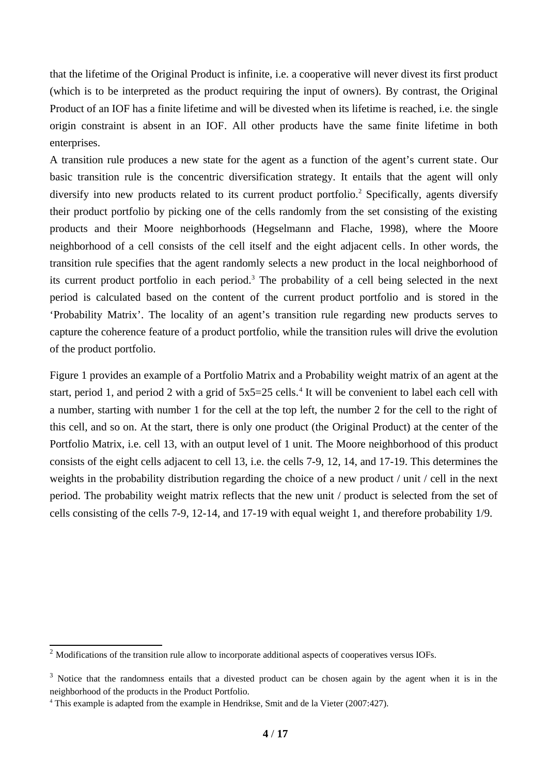that the lifetime of the Original Product is infinite, i.e. a cooperative will never divest its first product (which is to be interpreted as the product requiring the input of owners). By contrast, the Original Product of an IOF has a finite lifetime and will be divested when its lifetime is reached, i.e. the single origin constraint is absent in an IOF. All other products have the same finite lifetime in both enterprises.

<span id="page-3-0"></span>A transition rule produces a new state for the agent as a function of the agent's current state. Our basic transition rule is the concentric diversification strategy. It entails that the agent will only diversify into new products related to its current product portfolio. $^2$  $^2$  Specifically, agents diversify their product portfolio by picking one of the cells randomly from the set consisting of the existing products and their Moore neighborhoods (Hegselmann and Flache, 1998), where the Moore neighborhood of a cell consists of the cell itself and the eight adjacent cells. In other words, the transition rule specifies that the agent randomly selects a new product in the local neighborhood of its current product portfolio in each period. $^3$  $^3$  The probability of a cell being selected in the next period is calculated based on the content of the current product portfolio and is stored in the 'Probability Matrix'. The locality of an agent's transition rule regarding new products serves to capture the coherence feature of a product portfolio, while the transition rules will drive the evolution of the product portfolio.

<span id="page-3-4"></span><span id="page-3-2"></span>Figure 1 provides an example of a Portfolio Matrix and a Probability weight matrix of an agent at the start, period 1, and period 2 with a grid of 5x5=25 cells.<sup>[4](#page-3-5)</sup> It will be convenient to label each cell with a number, starting with number 1 for the cell at the top left, the number 2 for the cell to the right of this cell, and so on. At the start, there is only one product (the Original Product) at the center of the Portfolio Matrix, i.e. cell 13, with an output level of 1 unit. The Moore neighborhood of this product consists of the eight cells adjacent to cell 13, i.e. the cells 7-9, 12, 14, and 17-19. This determines the weights in the probability distribution regarding the choice of a new product / unit / cell in the next period. The probability weight matrix reflects that the new unit / product is selected from the set of cells consisting of the cells 7-9, 12-14, and 17-19 with equal weight 1, and therefore probability 1/9.

<span id="page-3-1"></span><sup>&</sup>lt;sup>[2](#page-3-0)</sup> Modifications of the transition rule allow to incorporate additional aspects of cooperatives versus IOFs.

<span id="page-3-3"></span> $3$  Notice that the randomness entails that a divested product can be chosen again by the agent when it is in the neighborhood of the products in the Product Portfolio.

<span id="page-3-5"></span>[<sup>4</sup>](#page-3-4) This example is adapted from the example in Hendrikse, Smit and de la Vieter (2007:427).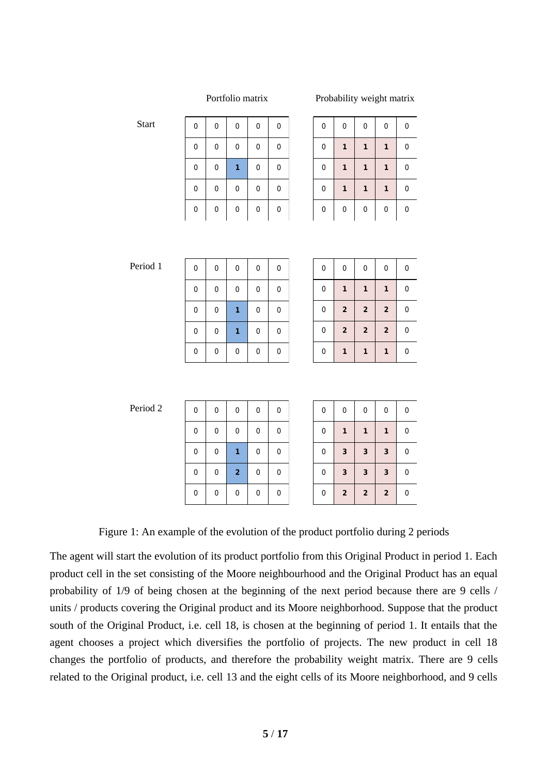#### Portfolio matrix Probability weight matrix

| 0            | $\mathbf 0$ | $\mathbf 0$ | $\boldsymbol{0}$ | 0 |
|--------------|-------------|-------------|------------------|---|
| $\mathbf{0}$ | 0           | 0           | 0                | 0 |
| $\mathbf 0$  | $\mathbf 0$ | 1           | 0                | 0 |
| $\mathbf{0}$ | $\mathbf 0$ | $\mathbf 0$ | 0                | 0 |
| 0            | 0           | $\mathbf 0$ | 0                | 0 |
|              |             |             |                  |   |

| 0            | 0            | 0            | 0 |
|--------------|--------------|--------------|---|
| $\mathbf{1}$ | $\mathbf{1}$ | $\mathbf{1}$ | 0 |
| 1            | $\mathbf{1}$ | $\mathbf 1$  | 0 |
| $\mathbf{1}$ | 1            | $\mathbf{1}$ | 0 |
| 0            | 0            | 0            | 0 |
|              |              |              |   |

Period 1

**Start** 

| 0 | 0 | 0 | 0 | 0 |
|---|---|---|---|---|
| 0 | 0 | 0 | 0 | 0 |
| 0 | 0 | 1 | 0 | 0 |
| 0 | 0 | 1 | 0 | 0 |
| 0 | 0 | 0 | 0 | 0 |

| 0 | 0                       | 0                       | 0                       | 0 |
|---|-------------------------|-------------------------|-------------------------|---|
| 0 | $\mathbf{1}$            | $\mathbf{1}$            | $\mathbf{1}$            | 0 |
| 0 | $\mathbf 2$             | $\overline{\mathbf{2}}$ | $\overline{\mathbf{2}}$ | 0 |
| 0 | $\overline{\mathbf{c}}$ | $\overline{\mathbf{c}}$ | $\overline{\mathbf{c}}$ | 0 |
| 0 | 1                       | 1                       | 1                       | 0 |

Period 2

| 0 | 0 | 0                       | 0 | 0 |
|---|---|-------------------------|---|---|
| 0 | 0 | 0                       | 0 | 0 |
| 0 | 0 | 1                       | 0 | 0 |
| 0 | 0 | $\overline{\mathbf{c}}$ | 0 | 0 |
| 0 | 0 | 0                       | 0 | 0 |

| 0 | 0                       | 0            | 0                       | 0 |
|---|-------------------------|--------------|-------------------------|---|
| 0 | $\mathbf{1}$            | $\mathbf{1}$ | 1                       | 0 |
| 0 | 3                       | 3            | 3                       | 0 |
| 0 | 3                       | 3            | 3                       | 0 |
| 0 | $\overline{\mathbf{c}}$ | $\mathbf 2$  | $\overline{\mathbf{c}}$ | 0 |

Figure 1: An example of the evolution of the product portfolio during 2 periods

The agent will start the evolution of its product portfolio from this Original Product in period 1. Each product cell in the set consisting of the Moore neighbourhood and the Original Product has an equal probability of 1/9 of being chosen at the beginning of the next period because there are 9 cells / units / products covering the Original product and its Moore neighborhood. Suppose that the product south of the Original Product, i.e. cell 18, is chosen at the beginning of period 1. It entails that the agent chooses a project which diversifies the portfolio of projects. The new product in cell 18 changes the portfolio of products, and therefore the probability weight matrix. There are 9 cells related to the Original product, i.e. cell 13 and the eight cells of its Moore neighborhood, and 9 cells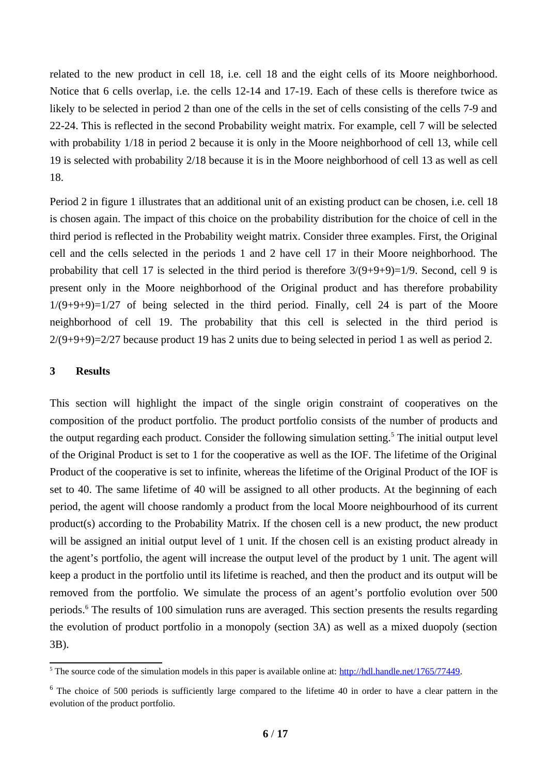related to the new product in cell 18, i.e. cell 18 and the eight cells of its Moore neighborhood. Notice that 6 cells overlap, i.e. the cells 12-14 and 17-19. Each of these cells is therefore twice as likely to be selected in period 2 than one of the cells in the set of cells consisting of the cells 7-9 and 22-24. This is reflected in the second Probability weight matrix. For example, cell 7 will be selected with probability 1/18 in period 2 because it is only in the Moore neighborhood of cell 13, while cell 19 is selected with probability 2/18 because it is in the Moore neighborhood of cell 13 as well as cell 18.

Period 2 in figure 1 illustrates that an additional unit of an existing product can be chosen, i.e. cell 18 is chosen again. The impact of this choice on the probability distribution for the choice of cell in the third period is reflected in the Probability weight matrix. Consider three examples. First, the Original cell and the cells selected in the periods 1 and 2 have cell 17 in their Moore neighborhood. The probability that cell 17 is selected in the third period is therefore 3/(9+9+9)=1/9. Second, cell 9 is present only in the Moore neighborhood of the Original product and has therefore probability  $1/(9+9+9)=1/27$  of being selected in the third period. Finally, cell 24 is part of the Moore neighborhood of cell 19. The probability that this cell is selected in the third period is 2/(9+9+9)=2/27 because product 19 has 2 units due to being selected in period 1 as well as period 2.

# **3 Results**

<span id="page-5-0"></span>This section will highlight the impact of the single origin constraint of cooperatives on the composition of the product portfolio. The product portfolio consists of the number of products and the output regarding each product. Consider the following simulation setting.<sup>[5](#page-5-1)</sup> The initial output level of the Original Product is set to 1 for the cooperative as well as the IOF. The lifetime of the Original Product of the cooperative is set to infinite, whereas the lifetime of the Original Product of the IOF is set to 40. The same lifetime of 40 will be assigned to all other products. At the beginning of each period, the agent will choose randomly a product from the local Moore neighbourhood of its current product(s) according to the Probability Matrix. If the chosen cell is a new product, the new product will be assigned an initial output level of 1 unit. If the chosen cell is an existing product already in the agent's portfolio, the agent will increase the output level of the product by 1 unit. The agent will keep a product in the portfolio until its lifetime is reached, and then the product and its output will be removed from the portfolio. We simulate the process of an agent's portfolio evolution over 500 periods.[6](#page-5-3) The results of 100 simulation runs are averaged. This section presents the results regarding the evolution of product portfolio in a monopoly (section 3A) as well as a mixed duopoly (section 3B).

<span id="page-5-2"></span><span id="page-5-1"></span><sup>&</sup>lt;sup>[5](#page-5-0)</sup> The source code of the simulation models in this paper is available online at: <http://hdl.handle.net/1765/77449>.

<span id="page-5-3"></span> $^6$  $^6$  The choice of 500 periods is sufficiently large compared to the lifetime 40 in order to have a clear pattern in the evolution of the product portfolio.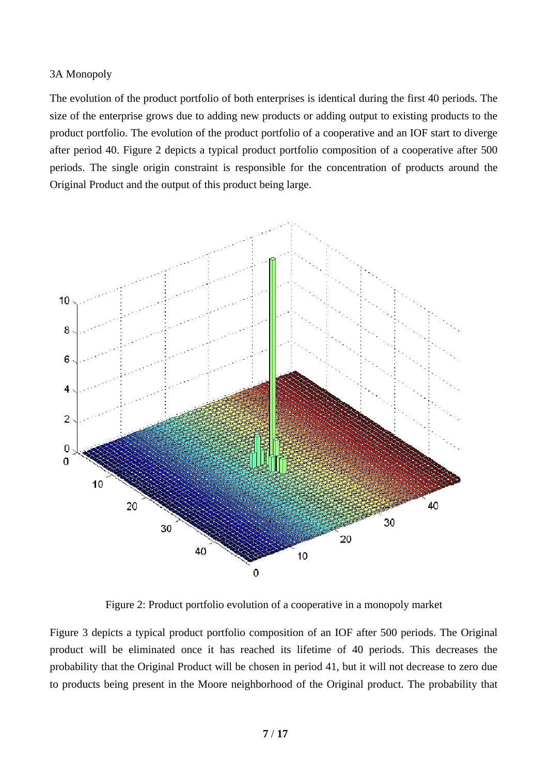# 3A Monopoly

The evolution of the product portfolio of both enterprises is identical during the first 40 periods. The size of the enterprise grows due to adding new products or adding output to existing products to the product portfolio. The evolution of the product portfolio of a cooperative and an IOF start to diverge after period 40. Figure 2 depicts a typical product portfolio composition of a cooperative after 500 periods. The single origin constraint is responsible for the concentration of products around the Original Product and the output of this product being large.



Figure 2: Product portfolio evolution of a cooperative in a monopoly market

Figure 3 depicts a typical product portfolio composition of an IOF after 500 periods. The Original product will be eliminated once it has reached its lifetime of 40 periods. This decreases the probability that the Original Product will be chosen in period 41, but it will not decrease to zero due to products being present in the Moore neighborhood of the Original product. The probability that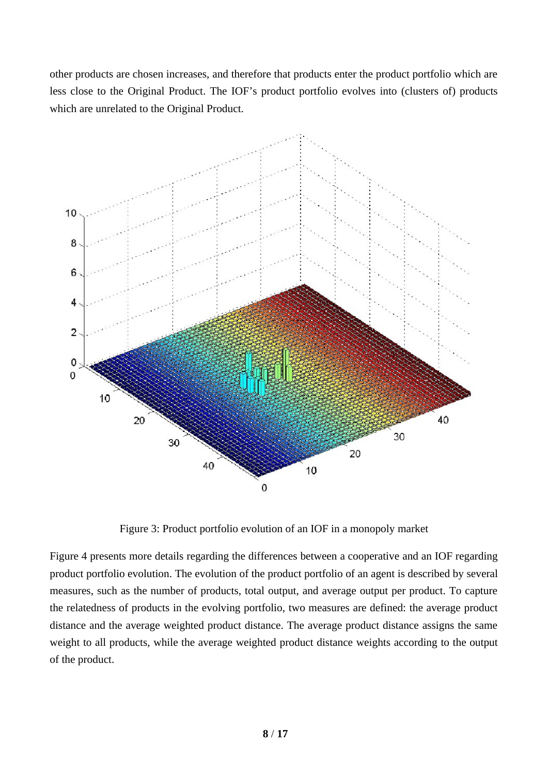other products are chosen increases, and therefore that products enter the product portfolio which are less close to the Original Product. The IOF's product portfolio evolves into (clusters of) products which are unrelated to the Original Product.



Figure 3: Product portfolio evolution of an IOF in a monopoly market

Figure 4 presents more details regarding the differences between a cooperative and an IOF regarding product portfolio evolution. The evolution of the product portfolio of an agent is described by several measures, such as the number of products, total output, and average output per product. To capture the relatedness of products in the evolving portfolio, two measures are defined: the average product distance and the average weighted product distance. The average product distance assigns the same weight to all products, while the average weighted product distance weights according to the output of the product.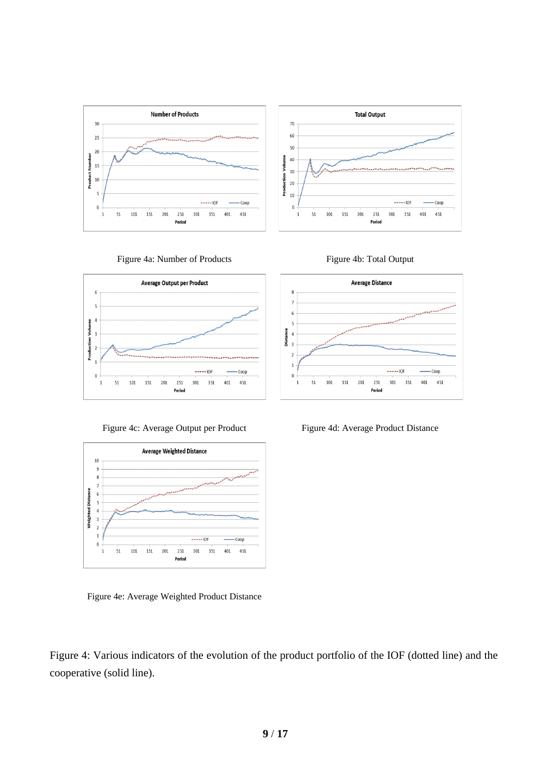



Figure 4a: Number of Products Figure 4b: Total Output





Figure 4e: Average Weighted Product Distance

Figure 4: Various indicators of the evolution of the product portfolio of the IOF (dotted line) and the cooperative (solid line).



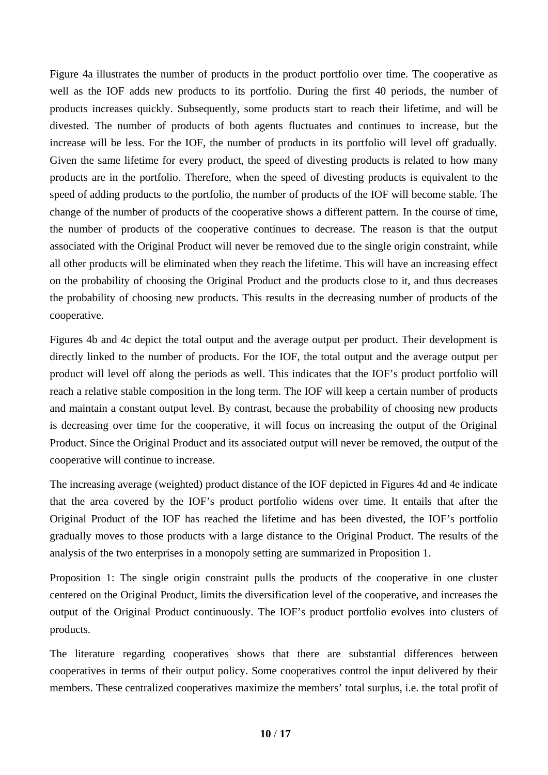Figure 4a illustrates the number of products in the product portfolio over time. The cooperative as well as the IOF adds new products to its portfolio. During the first 40 periods, the number of products increases quickly. Subsequently, some products start to reach their lifetime, and will be divested. The number of products of both agents fluctuates and continues to increase, but the increase will be less. For the IOF, the number of products in its portfolio will level off gradually. Given the same lifetime for every product, the speed of divesting products is related to how many products are in the portfolio. Therefore, when the speed of divesting products is equivalent to the speed of adding products to the portfolio, the number of products of the IOF will become stable. The change of the number of products of the cooperative shows a different pattern. In the course of time, the number of products of the cooperative continues to decrease. The reason is that the output associated with the Original Product will never be removed due to the single origin constraint, while all other products will be eliminated when they reach the lifetime. This will have an increasing effect on the probability of choosing the Original Product and the products close to it, and thus decreases the probability of choosing new products. This results in the decreasing number of products of the cooperative.

Figures 4b and 4c depict the total output and the average output per product. Their development is directly linked to the number of products. For the IOF, the total output and the average output per product will level off along the periods as well. This indicates that the IOF's product portfolio will reach a relative stable composition in the long term. The IOF will keep a certain number of products and maintain a constant output level. By contrast, because the probability of choosing new products is decreasing over time for the cooperative, it will focus on increasing the output of the Original Product. Since the Original Product and its associated output will never be removed, the output of the cooperative will continue to increase.

The increasing average (weighted) product distance of the IOF depicted in Figures 4d and 4e indicate that the area covered by the IOF's product portfolio widens over time. It entails that after the Original Product of the IOF has reached the lifetime and has been divested, the IOF's portfolio gradually moves to those products with a large distance to the Original Product. The results of the analysis of the two enterprises in a monopoly setting are summarized in Proposition 1.

Proposition 1: The single origin constraint pulls the products of the cooperative in one cluster centered on the Original Product, limits the diversification level of the cooperative, and increases the output of the Original Product continuously. The IOF's product portfolio evolves into clusters of products.

The literature regarding cooperatives shows that there are substantial differences between cooperatives in terms of their output policy. Some cooperatives control the input delivered by their members. These centralized cooperatives maximize the members' total surplus, i.e. the total profit of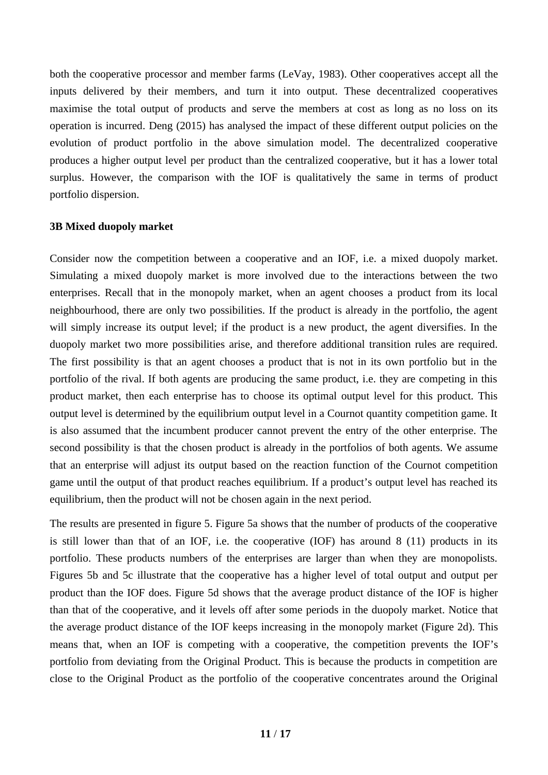both the cooperative processor and member farms (LeVay, 1983). Other cooperatives accept all the inputs delivered by their members, and turn it into output. These decentralized cooperatives maximise the total output of products and serve the members at cost as long as no loss on its operation is incurred. Deng (2015) has analysed the impact of these different output policies on the evolution of product portfolio in the above simulation model. The decentralized cooperative produces a higher output level per product than the centralized cooperative, but it has a lower total surplus. However, the comparison with the IOF is qualitatively the same in terms of product portfolio dispersion.

### **3B Mixed duopoly market**

Consider now the competition between a cooperative and an IOF, i.e. a mixed duopoly market. Simulating a mixed duopoly market is more involved due to the interactions between the two enterprises. Recall that in the monopoly market, when an agent chooses a product from its local neighbourhood, there are only two possibilities. If the product is already in the portfolio, the agent will simply increase its output level; if the product is a new product, the agent diversifies. In the duopoly market two more possibilities arise, and therefore additional transition rules are required. The first possibility is that an agent chooses a product that is not in its own portfolio but in the portfolio of the rival. If both agents are producing the same product, i.e. they are competing in this product market, then each enterprise has to choose its optimal output level for this product. This output level is determined by the equilibrium output level in a Cournot quantity competition game. It is also assumed that the incumbent producer cannot prevent the entry of the other enterprise. The second possibility is that the chosen product is already in the portfolios of both agents. We assume that an enterprise will adjust its output based on the reaction function of the Cournot competition game until the output of that product reaches equilibrium. If a product's output level has reached its equilibrium, then the product will not be chosen again in the next period.

The results are presented in figure 5. Figure 5a shows that the number of products of the cooperative is still lower than that of an IOF, i.e. the cooperative (IOF) has around 8 (11) products in its portfolio. These products numbers of the enterprises are larger than when they are monopolists. Figures 5b and 5c illustrate that the cooperative has a higher level of total output and output per product than the IOF does. Figure 5d shows that the average product distance of the IOF is higher than that of the cooperative, and it levels off after some periods in the duopoly market. Notice that the average product distance of the IOF keeps increasing in the monopoly market (Figure 2d). This means that, when an IOF is competing with a cooperative, the competition prevents the IOF's portfolio from deviating from the Original Product. This is because the products in competition are close to the Original Product as the portfolio of the cooperative concentrates around the Original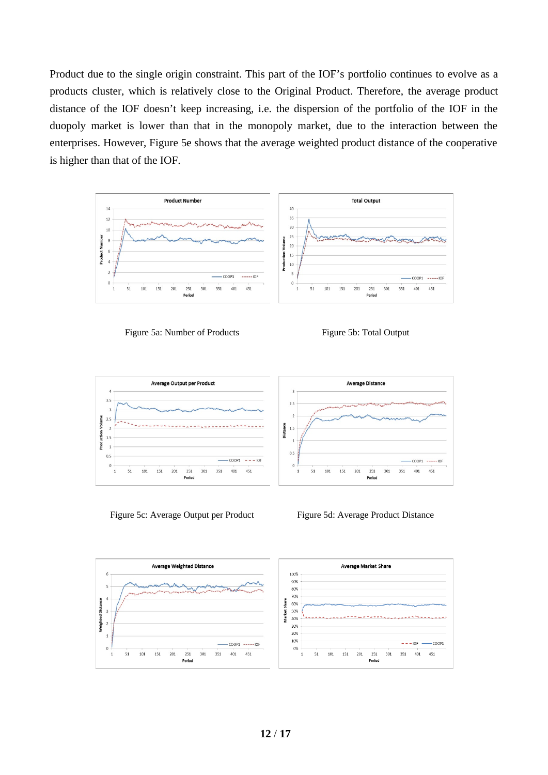Product due to the single origin constraint. This part of the IOF's portfolio continues to evolve as a products cluster, which is relatively close to the Original Product. Therefore, the average product distance of the IOF doesn't keep increasing, i.e. the dispersion of the portfolio of the IOF in the duopoly market is lower than that in the monopoly market, due to the interaction between the enterprises. However, Figure 5e shows that the average weighted product distance of the cooperative is higher than that of the IOF.









Figure 5c: Average Output per Product Figure 5d: Average Product Distance

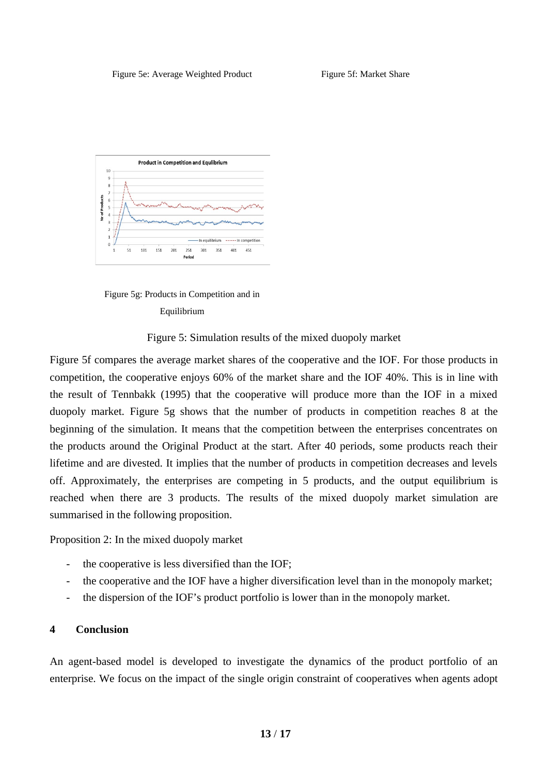



Figure 5: Simulation results of the mixed duopoly market

Figure 5f compares the average market shares of the cooperative and the IOF. For those products in competition, the cooperative enjoys 60% of the market share and the IOF 40%. This is in line with the result of Tennbakk (1995) that the cooperative will produce more than the IOF in a mixed duopoly market. Figure 5g shows that the number of products in competition reaches 8 at the beginning of the simulation. It means that the competition between the enterprises concentrates on the products around the Original Product at the start. After 40 periods, some products reach their lifetime and are divested. It implies that the number of products in competition decreases and levels off. Approximately, the enterprises are competing in 5 products, and the output equilibrium is reached when there are 3 products. The results of the mixed duopoly market simulation are summarised in the following proposition.

Proposition 2: In the mixed duopoly market

- the cooperative is less diversified than the IOF;
- the cooperative and the IOF have a higher diversification level than in the monopoly market;
- the dispersion of the IOF's product portfolio is lower than in the monopoly market.

# **4 Conclusion**

An agent-based model is developed to investigate the dynamics of the product portfolio of an enterprise. We focus on the impact of the single origin constraint of cooperatives when agents adopt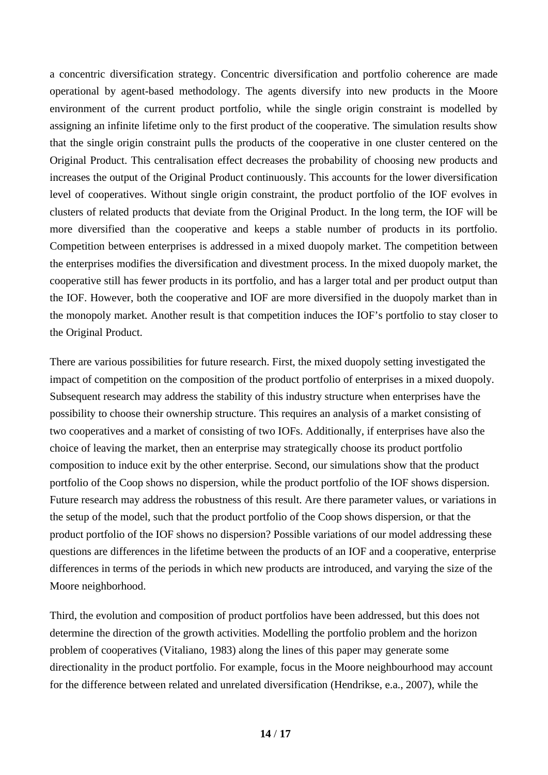a concentric diversification strategy. Concentric diversification and portfolio coherence are made operational by agent-based methodology. The agents diversify into new products in the Moore environment of the current product portfolio, while the single origin constraint is modelled by assigning an infinite lifetime only to the first product of the cooperative. The simulation results show that the single origin constraint pulls the products of the cooperative in one cluster centered on the Original Product. This centralisation effect decreases the probability of choosing new products and increases the output of the Original Product continuously. This accounts for the lower diversification level of cooperatives. Without single origin constraint, the product portfolio of the IOF evolves in clusters of related products that deviate from the Original Product. In the long term, the IOF will be more diversified than the cooperative and keeps a stable number of products in its portfolio. Competition between enterprises is addressed in a mixed duopoly market. The competition between the enterprises modifies the diversification and divestment process. In the mixed duopoly market, the cooperative still has fewer products in its portfolio, and has a larger total and per product output than the IOF. However, both the cooperative and IOF are more diversified in the duopoly market than in the monopoly market. Another result is that competition induces the IOF's portfolio to stay closer to the Original Product.

There are various possibilities for future research. First, the mixed duopoly setting investigated the impact of competition on the composition of the product portfolio of enterprises in a mixed duopoly. Subsequent research may address the stability of this industry structure when enterprises have the possibility to choose their ownership structure. This requires an analysis of a market consisting of two cooperatives and a market of consisting of two IOFs. Additionally, if enterprises have also the choice of leaving the market, then an enterprise may strategically choose its product portfolio composition to induce exit by the other enterprise. Second, our simulations show that the product portfolio of the Coop shows no dispersion, while the product portfolio of the IOF shows dispersion. Future research may address the robustness of this result. Are there parameter values, or variations in the setup of the model, such that the product portfolio of the Coop shows dispersion, or that the product portfolio of the IOF shows no dispersion? Possible variations of our model addressing these questions are differences in the lifetime between the products of an IOF and a cooperative, enterprise differences in terms of the periods in which new products are introduced, and varying the size of the Moore neighborhood.

Third, the evolution and composition of product portfolios have been addressed, but this does not determine the direction of the growth activities. Modelling the portfolio problem and the horizon problem of cooperatives (Vitaliano, 1983) along the lines of this paper may generate some directionality in the product portfolio. For example, focus in the Moore neighbourhood may account for the difference between related and unrelated diversification (Hendrikse, e.a., 2007), while the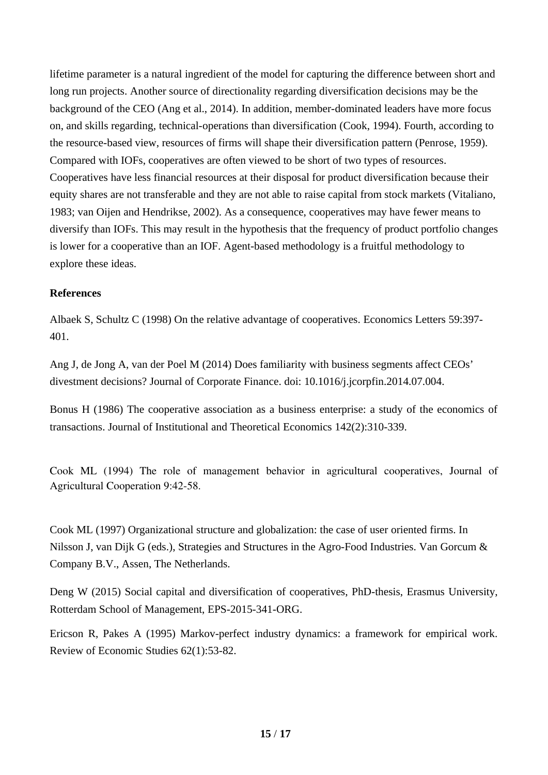lifetime parameter is a natural ingredient of the model for capturing the difference between short and long run projects. Another source of directionality regarding diversification decisions may be the background of the CEO (Ang et al., 2014). In addition, member-dominated leaders have more focus on, and skills regarding, technical-operations than diversification (Cook, 1994). Fourth, according to the resource-based view, resources of firms will shape their diversification pattern (Penrose, 1959). Compared with IOFs, cooperatives are often viewed to be short of two types of resources. Cooperatives have less financial resources at their disposal for product diversification because their equity shares are not transferable and they are not able to raise capital from stock markets (Vitaliano, 1983; van Oijen and Hendrikse, 2002). As a consequence, cooperatives may have fewer means to diversify than IOFs. This may result in the hypothesis that the frequency of product portfolio changes is lower for a cooperative than an IOF. Agent-based methodology is a fruitful methodology to explore these ideas.

# **References**

Albaek S, Schultz C (1998) On the relative advantage of cooperatives. Economics Letters 59:397- 401.

Ang J, de Jong A, van der Poel M (2014) Does familiarity with business segments affect CEOs' divestment decisions? Journal of Corporate Finance. doi: 10.1016/j.jcorpfin.2014.07.004.

Bonus H (1986) The cooperative association as a business enterprise: a study of the economics of transactions. Journal of Institutional and Theoretical Economics 142(2):310-339.

Cook ML (1994) The role of management behavior in agricultural cooperatives, Journal of Agricultural Cooperation 9:42-58.

Cook ML (1997) Organizational structure and globalization: the case of user oriented firms. In Nilsson J, van Dijk G (eds.), Strategies and Structures in the Agro-Food Industries. Van Gorcum & Company B.V., Assen, The Netherlands.

Deng W (2015) Social capital and diversification of cooperatives, PhD-thesis, Erasmus University, Rotterdam School of Management, EPS-2015-341-ORG.

Ericson R, Pakes A (1995) Markov-perfect industry dynamics: a framework for empirical work. Review of Economic Studies 62(1):53-82.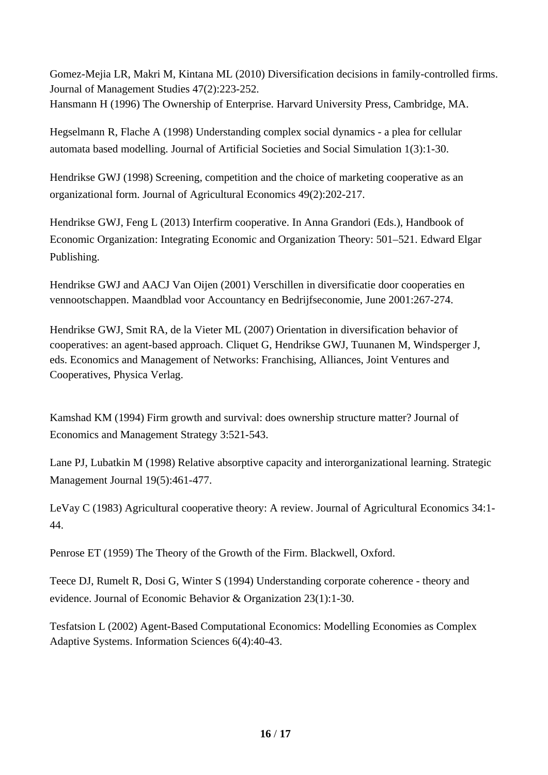Gomez-Mejia LR, Makri M, Kintana ML (2010) Diversification decisions in family-controlled firms. Journal of Management Studies 47(2):223-252. Hansmann H (1996) The Ownership of Enterprise. Harvard University Press, Cambridge, MA.

Hegselmann R, Flache A (1998) Understanding complex social dynamics - a plea for cellular automata based modelling. Journal of Artificial Societies and Social Simulation 1(3):1-30.

Hendrikse GWJ (1998) Screening, competition and the choice of marketing cooperative as an organizational form. Journal of Agricultural Economics 49(2):202-217.

Hendrikse GWJ, Feng L (2013) Interfirm cooperative. In Anna Grandori (Eds.), Handbook of Economic Organization: Integrating Economic and Organization Theory: 501–521. Edward Elgar Publishing.

Hendrikse GWJ and AACJ Van Oijen (2001) Verschillen in diversificatie door cooperaties en vennootschappen. Maandblad voor Accountancy en Bedrijfseconomie, June 2001:267-274.

Hendrikse GWJ, Smit RA, de la Vieter ML (2007) Orientation in diversification behavior of cooperatives: an agent-based approach. Cliquet G, Hendrikse GWJ, Tuunanen M, Windsperger J, eds. Economics and Management of Networks: Franchising, Alliances, Joint Ventures and Cooperatives, Physica Verlag.

Kamshad KM (1994) Firm growth and survival: does ownership structure matter? Journal of Economics and Management Strategy 3:521-543.

Lane PJ, Lubatkin M (1998) Relative absorptive capacity and interorganizational learning. Strategic Management Journal 19(5):461-477.

LeVay C (1983) Agricultural cooperative theory: A review. Journal of Agricultural Economics 34:1- 44.

Penrose ET (1959) The Theory of the Growth of the Firm. Blackwell, Oxford.

Teece DJ, Rumelt R, Dosi G, Winter S (1994) Understanding corporate coherence - theory and evidence. Journal of Economic Behavior & Organization 23(1):1-30.

Tesfatsion L (2002) Agent-Based Computational Economics: Modelling Economies as Complex Adaptive Systems. [Information Sciences](https://www.researchgate.net/journal/Information-Sciences-0020-0255) 6(4):40-43.